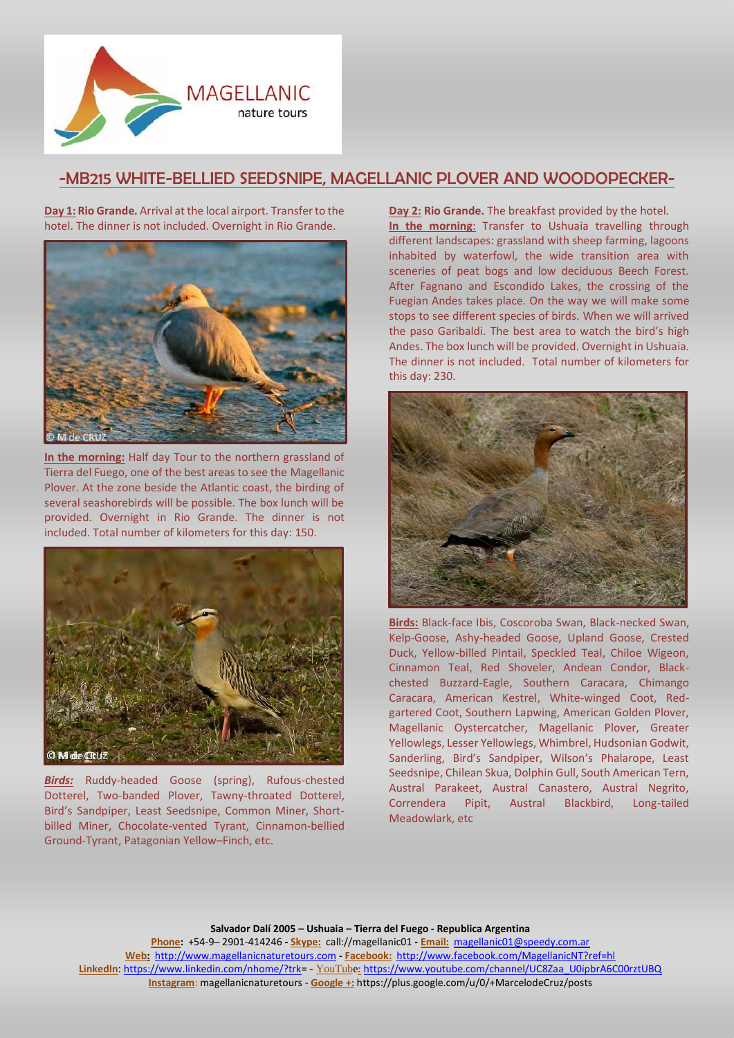

## -MB215 WHITE-BELLIED SEEDSNIPE, MAGELLANIC PLOVER AND WOODOPECKER-

**Day 1: Rio Grande***.* Arrival at the local airport. Transfer to the hotel. The dinner is not included. Overnight in Rio Grande.



**In the morning:** Half day Tour to the northern grassland of Tierra del Fuego, one of the best areas to see the Magellanic Plover. At the zone beside the Atlantic coast, the birding of several seashorebirds will be possible. The box lunch will be provided. Overnight in Rio Grande. The dinner is not included. Total number of kilometers for this day: 150.



*Birds:* Ruddy-headed Goose (spring), Rufous-chested Dotterel, Two-banded Plover, Tawny-throated Dotterel, Bird's Sandpiper, Least Seedsnipe, Common Miner, Shortbilled Miner, Chocolate-vented Tyrant, Cinnamon-bellied Ground-Tyrant, Patagonian Yellow–Finch, etc.

**Day 2: Rio Grande.** The breakfast provided by the hotel. **In the morning**: Transfer to Ushuaia travelling through different landscapes: grassland with sheep farming, lagoons inhabited by waterfowl, the wide transition area with sceneries of peat bogs and low deciduous Beech Forest. After Fagnano and Escondido Lakes, the crossing of the Fuegian Andes takes place. On the way we will make some stops to see different species of birds. When we will arrived the paso Garibaldi. The best area to watch the bird's high Andes. The box lunch will be provided. Overnight in Ushuaia. The dinner is not included. Total number of kilometers for this day: 230.



**Birds:** Black-face Ibis, Coscoroba Swan, Black-necked Swan, Kelp-Goose, Ashy-headed Goose, Upland Goose, Crested Duck, Yellow-billed Pintail, Speckled Teal, Chiloe Wigeon, Cinnamon Teal, Red Shoveler, Andean Condor, Blackchested Buzzard-Eagle, Southern Caracara, Chimango Caracara, American Kestrel, White-winged Coot, Redgartered Coot, Southern Lapwing, American Golden Plover, Magellanic Oystercatcher, Magellanic Plover, Greater Yellowlegs, Lesser Yellowlegs, Whimbrel, Hudsonian Godwit, Sanderling, Bird's Sandpiper, Wilson's Phalarope, Least Seedsnipe, Chilean Skua, Dolphin Gull, South American Tern, Austral Parakeet, Austral Canastero, Austral Negrito, Correndera Pipit, Austral Blackbird, Long-tailed Meadowlark, etc

**Salvador Dalí 2005 – Ushuaia – Tierra del Fuego - Republica Argentina**

**Phone:** +54-9– 2901-414246 **- Skype:** call://magellanic01 **- Email:** [magellanic01@speedy.com.ar](mailto:magellanic01@speedy.com.ar) **Web:** [http://www.magellanicnaturetours.com](http://www.magellanicnaturetours.com/) **- Facebook:** <http://www.facebook.com/MagellanicNT?ref=hl> **LinkedIn**: [https://www.linkedin.com/nhome/?trk=](https://www.linkedin.com/nhome/?trk) - YouTube**:** [https://www.youtube.com/channel/UC8Zaa\\_U0ipbrA6C00rztUBQ](https://www.youtube.com/channel/UC8Zaa_U0ipbrA6C00rztUBQ) **Instagram**: magellanicnaturetours - **Google +:** https://plus.google.com/u/0/+MarcelodeCruz/posts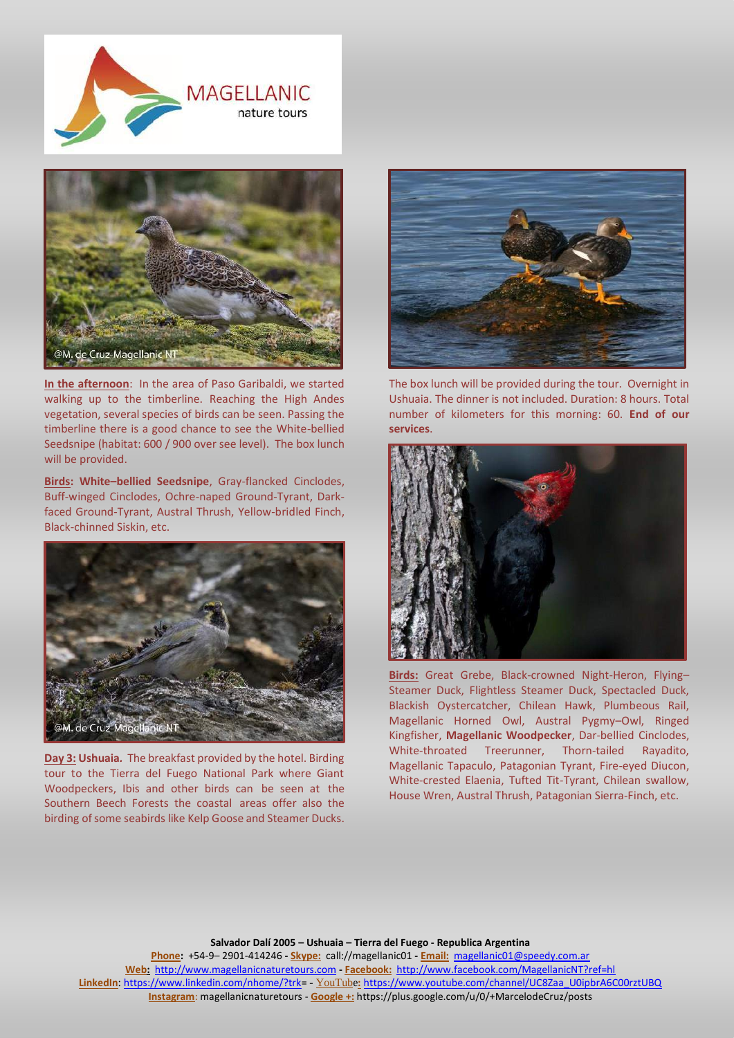



**In the afternoon**: In the area of Paso Garibaldi, we started walking up to the timberline. Reaching the High Andes vegetation, several species of birds can be seen. Passing the timberline there is a good chance to see the White-bellied Seedsnipe (habitat: 600 / 900 over see level). The box lunch will be provided.

**Birds: White–bellied Seedsnipe**, Gray-flancked Cinclodes, Buff-winged Cinclodes, Ochre-naped Ground-Tyrant, Darkfaced Ground-Tyrant, Austral Thrush, Yellow-bridled Finch, Black-chinned Siskin, etc.



**Day 3: Ushuaia***.* The breakfast provided by the hotel. Birding tour to the Tierra del Fuego National Park where Giant Woodpeckers, Ibis and other birds can be seen at the Southern Beech Forests the coastal areas offer also the birding of some seabirds like Kelp Goose and Steamer Ducks.



The box lunch will be provided during the tour. Overnight in Ushuaia. The dinner is not included. Duration: 8 hours. Total number of kilometers for this morning: 60. **End of our services**.



**Birds:** Great Grebe, Black-crowned Night-Heron, Flying– Steamer Duck, Flightless Steamer Duck, Spectacled Duck, Blackish Oystercatcher, Chilean Hawk, Plumbeous Rail, Magellanic Horned Owl, Austral Pygmy–Owl, Ringed Kingfisher, **Magellanic Woodpecker**, Dar-bellied Cinclodes, White-throated Treerunner, Thorn-tailed Rayadito, Magellanic Tapaculo, Patagonian Tyrant, Fire-eyed Diucon, White-crested Elaenia, Tufted Tit-Tyrant, Chilean swallow, House Wren, Austral Thrush, Patagonian Sierra-Finch, etc.